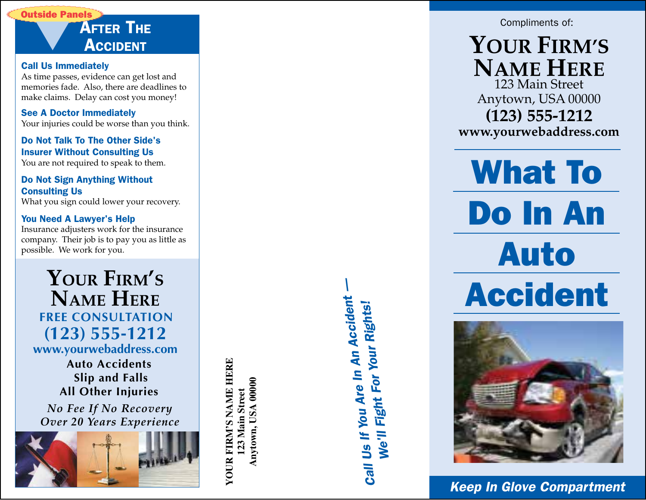

#### Call Us Immediately

As time passes, evidence can get lost and memories fade. Also, there are deadlines to make claims. Delay can cost you money!

See A Doctor Immediately Your injuries could be worse than you think.

Do Not Talk To The Other Side's Insurer Without Consulting Us You are not required to speak to them.

Do Not Sign Anything Without Consulting Us What you sign could lower your recovery.

You Need A Lawyer's Help Insurance adjusters work for the insurance company. Their job is to pay you as little as

> **Your Firm ' s Name Here FREE CONSULTATION (123) 555-1212**

**Auto Accidents Slip and Falls All Other Injuries www.yourwebaddress.com**

*No Fee If No Recovery Over 20 Years Experience*



YOUR FIRM'S NAME HERE **Your Firm's Name Here** Anytown, USA 00000 **Anytown, USA 00000** 123 Main Street **123 Main Street**

*Call Us If You Are In An Accident — We'll Fight For Your Rights!*

Compliments of:

## 123 Main Street Anytown, USA 00000 **(123) 555-1212 YOUR FIRM'S<br>NAME HERE**<br>123 Main Street<br>Anytown, USA 00000<br>**(123) 555-1212**<br>www.yourwebaddress.com

# What To Do In An Auto Accident



*Keep In Glove Compartment*